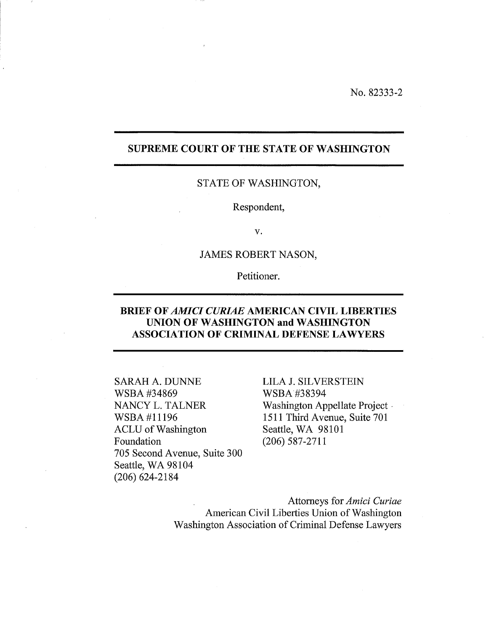No. 82333-2

# SUPREME COURT OF THE STATE OF WASHINGTON

## STATE OF WASHINGTON,

Respondent,

v.

# JAMES ROBERT NASON,

Petitioner.

# BRIEF OF *AMICI CURIAE* AMERICAN CIVIL LIBERTIES UNION OF WASHINGTON and WASHINGTON ASSOCIATION OF CRIMINAL DEFENSE LAWYERS

SARAH A. DUNNE WSBA#34869 NANCY L. TALNER WSBA#11196 ACLU of Washington Foundation 705 Second Avenue, Suite 300 Seattle, WA 98104 (206) 624-2184

LILA J. SILVERSTEIN WSBA#38394 Washington Appellate Project -1511 Third Avenue, Suite 701 Seattle, WA 98101 (206) 587-2711

Attorneys for *Amici Curiae*  American Civil Liberties Union of Washington Washington Association of Criminal Defense Lawyers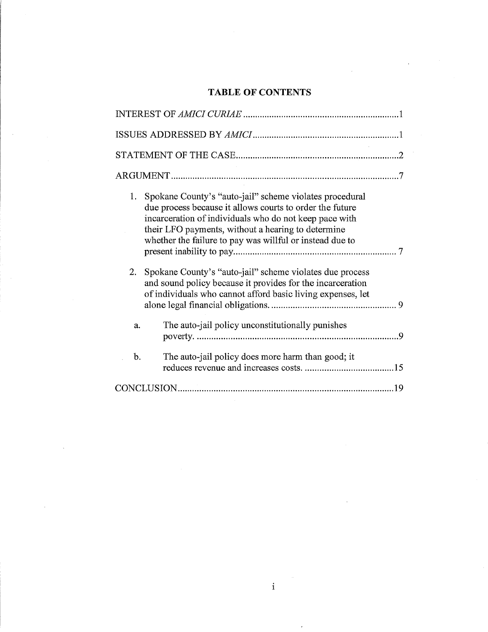#### **TABLE OF CONTENTS**

| 1.<br>Spokane County's "auto-jail" scheme violates procedural<br>due process because it allows courts to order the future<br>incarceration of individuals who do not keep pace with<br>their LFO payments, without a hearing to determine<br>whether the failure to pay was willful or instead due to |  |
|-------------------------------------------------------------------------------------------------------------------------------------------------------------------------------------------------------------------------------------------------------------------------------------------------------|--|
| 2.<br>Spokane County's "auto-jail" scheme violates due process<br>and sound policy because it provides for the incarceration<br>of individuals who cannot afford basic living expenses, let                                                                                                           |  |
| The auto-jail policy unconstitutionally punishes<br>a.                                                                                                                                                                                                                                                |  |
| b.<br>The auto-jail policy does more harm than good; it                                                                                                                                                                                                                                               |  |
|                                                                                                                                                                                                                                                                                                       |  |

i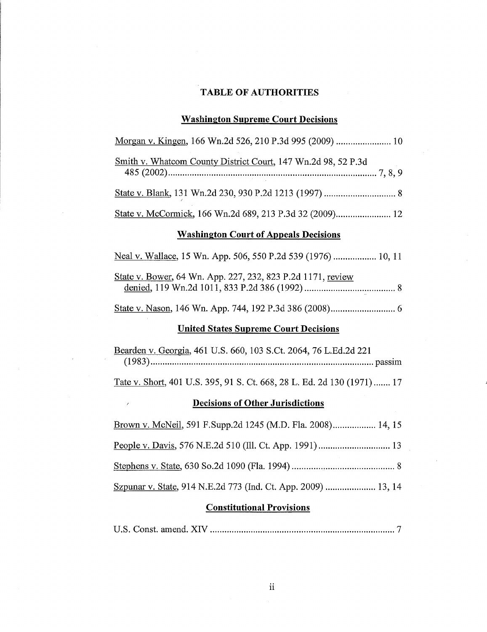## **TABLE OF AUTHORITIES**

# **Washington Supreme Court Decisions**

| Morgan v. Kingen, 166 Wn.2d 526, 210 P.3d 995 (2009)  10               |  |  |  |  |
|------------------------------------------------------------------------|--|--|--|--|
| <u>Smith v. Whatcom County District Court</u> , 147 Wn.2d 98, 52 P.3d  |  |  |  |  |
|                                                                        |  |  |  |  |
|                                                                        |  |  |  |  |
| <b>Washington Court of Appeals Decisions</b>                           |  |  |  |  |
| Neal v. Wallace, 15 Wn. App. 506, 550 P.2d 539 (1976)  10, 11          |  |  |  |  |
| State v. Bower, 64 Wn. App. 227, 232, 823 P.2d 1171, review            |  |  |  |  |
|                                                                        |  |  |  |  |
| <b>United States Supreme Court Decisions</b>                           |  |  |  |  |
| Bearden v. Georgia, 461 U.S. 660, 103 S.Ct. 2064, 76 L.Ed.2d 221       |  |  |  |  |
| Tate v. Short, 401 U.S. 395, 91 S. Ct. 668, 28 L. Ed. 2d 130 (1971) 17 |  |  |  |  |
| <b>Decisions of Other Jurisdictions</b><br>$^\prime$                   |  |  |  |  |
| Brown y McNeil 591 F Supp 2d 1245 (M D Fla 2008)<br>14 15              |  |  |  |  |

 $\mathcal{L}_{\rm{in}}$ 

 $\mathcal{L}$ 

 $\sim$   $\sim$ 

| Brown v. McNeil, 591 F.Supp.2d 1245 (M.D. Fla. 2008) 14, 15   |
|---------------------------------------------------------------|
|                                                               |
|                                                               |
| Szpunar v. State, 914 N.E.2d 773 (Ind. Ct. App. 2009)  13, 14 |

## **Constitutional Provisions**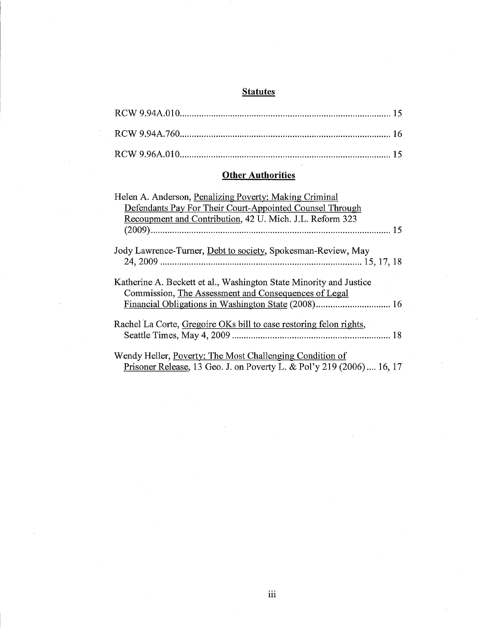#### **Statutes**

#### **Other Authorities**

| Helen A. Anderson, Penalizing Poverty: Making Criminal                                                                     |
|----------------------------------------------------------------------------------------------------------------------------|
| Defendants Pay For Their Court-Appointed Counsel Through                                                                   |
| Recoupment and Contribution, 42 U. Mich. J.L. Reform 323                                                                   |
|                                                                                                                            |
| Jody Lawrence-Turner, Debt to society, Spokesman-Review, May                                                               |
| Katherine A. Beckett et al., Washington State Minority and Justice<br>Commission, The Assessment and Consequences of Legal |
|                                                                                                                            |
| Rachel La Corte, Gregoire OKs bill to ease restoring felon rights,                                                         |
|                                                                                                                            |
| Wendy Heller, Poverty: The Most Challenging Condition of                                                                   |
| Prisoner Release, 13 Geo. J. on Poverty L. & Pol'y 219 (2006) 16, 17                                                       |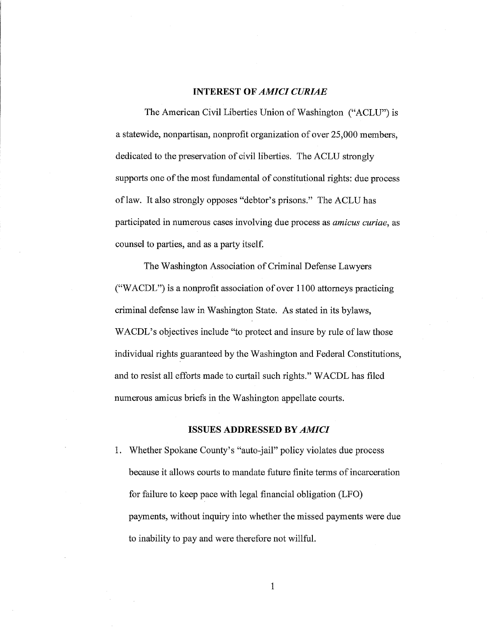#### **INTEREST OF** *AMICI CURIAE*

The American Civil Liberties Union of Washington ("ACLU") is a statewide, nonpartisan, nonprofit organization of over 25,000 members, dedicated to the preservation of civil liberties. The ACLU strongly supports one of the most fundamental of constitutional rights: due process oflaw. It also strongly opposes "debtor's prisons." The ACLU has participated in numerous cases involving due process as *amicus curiae,* as counsel to parties, and as a party itself.

The Washington Association of Criminal Defense Lawyers ("W ACDL") is a nonprofit association of over 1100 attorneys practicing criminal defense law in Washington State. As stated in its bylaws, WACDL's objectives include "to protect and insure by rule of law those individual rights guaranteed by the Washington and Federal Constitutions, and to resist all efforts made to curtail such rights." WACDL has filed numerous amicus briefs in the Washington appellate courts.

#### **ISSUES ADDRESSED BY** *AMICI*

1. Whether Spokane County's "auto-jail" policy violates due process because it allows courts to mandate future finite terms of incarceration for failure to keep pace with legal financial obligation (LFO) payments, without inquiry into whether the missed payments were due to inability to pay and were therefore not willful.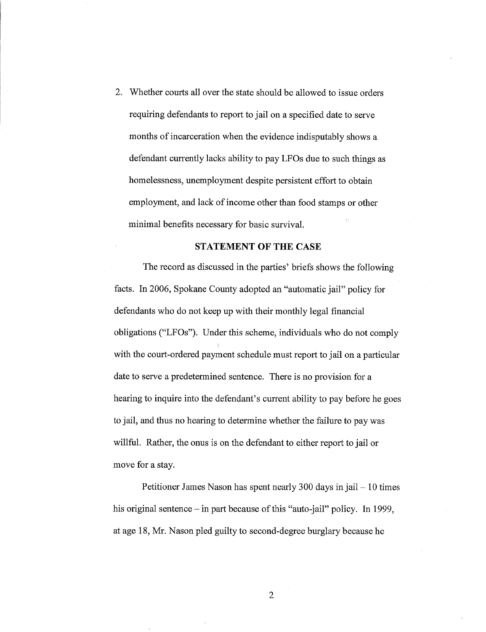2. Whether courts all over the state should be allowed to issue orders requiring defendants to report to jail on a specified date to serve months of incarceration when the evidence indisputably shows a defendant currently lacks ability to pay LFOs due to such things as homelessness, unemployment despite persistent effort to obtain employment, and lack of income other than food stamps or other minimal benefits necessary for basic survival.

## **STATEMENT OF THE CASE**

The record as discussed in the parties' briefs shows the following facts. In 2006, Spokane County adopted an "automatic jail" policy for defendants who do not keep up with their monthly legal financial obligations ("LFOs"). Under this scheme, individuals who do not comply with the court-ordered payment schedule must report to jail on a particular date to serve a predetermined sentence. There is no provision for a hearing to inquire into the defendant's current ability to pay before he goes to jail, and thus no hearing to determine whether the failure to pay was willful. Rather, the onus is on the defendant to either report to jail or move for a stay.

Petitioner James Nason has spent nearly 300 days in jail  $-10$  times his original sentence – in part because of this "auto-jail" policy. In 1999, at age 18, Mr. Nason pled guilty to second-degree burglary because he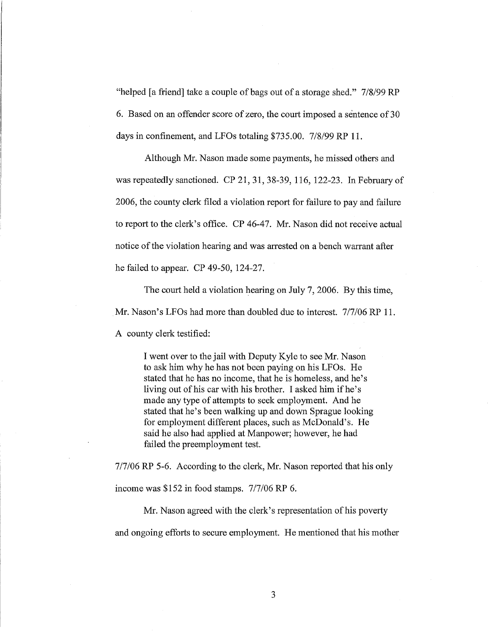"helped [a friend] take a couple of bags out of a storage shed." 7/8/99 RP 6. Based on an offender score of zero, the court imposed a sentence of30 days in confinement, and LFOs totaling \$735.00. 7/8/99 RP 11.

Although Mr. Nason made some payments, he missed others and was repeatedly sanctioned. CP 21, 31, 38-39, 116, 122-23. In February of 2006, the county clerk filed a violation report for failure to pay and failure to report to the clerk's office. CP 46-47. Mr. Nason did not receive actual notice of the violation hearing and was arrested on a bench warrant after he failed to appear. CP 49-50, 124-27.

The court held a violation hearing on July 7, 2006. By this time, Mr. Nason's LFOs had more than doubled due to interest. 7/7/06 RP 11. A county clerk testified:

> I went over to the jail with Deputy Kyle to see Mr. Nason to ask him why he has not been paying on his LFOs. He stated that he has no income, that he is homeless, and he's living out of his car with his brother. I asked him if he's made any type of attempts to seek employment. And he stated that he's been walking up and down Sprague looking for employment different places, such as McDonald's. He said he also had applied at Manpower; however, he had failed the preemployment test.

7/7/06 RP 5-6. According to the clerk, Mr. Nason reported that his only

income was \$152 in food stamps. 7/7/06 RP 6.

Mr. Nason agreed with the clerk's representation of his poverty and ongoing efforts to secure employment. He mentioned that his mother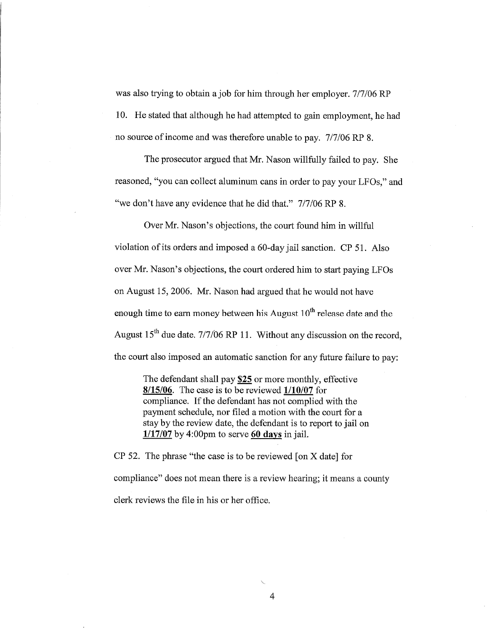was also trying to obtain a job for him through her employer. 7/7/06 RP 10. He stated that although he had attempted to gain employment, he had no source of income and was therefore unable to pay. 7/7/06 RP 8.

The prosecutor argued that Mr. Nason willfully failed to pay. She reasoned, "you can collect aluminum cans in order to pay your LFOs," and "we don't have any evidence that he did that." 7/7/06 RP 8.

Over Mr. Nason's objections, the court found him in willful violation of its orders and imposed a 60-day jail sanction. CP 51. Also over Mr. Nason's objections, the court ordered him to start paying LFOs on August 15,2006. Mr. Nason had argued that he would not have enough time to earn money between his August  $10^{th}$  release date and the August  $15<sup>th</sup>$  due date. 7/7/06 RP 11. Without any discussion on the record, the court also imposed an automatic sanction for any future failure to pay:

> The defendant shall pay \$25 or more monthly, effective  $8/15/06$ . The case is to be reviewed  $1/10/07$  for compliance. If the defendant has not complied with the payment schedule, nor filed a motion with the court for a stay by the review date, the defendant is to report to jail on  $1/17/07$  by 4:00pm to serve 60 days in jail.

CP 52. The phrase "the case is to be reviewed [on X date] for compliance" does not mean there is a review hearing; it means a county clerk reviews the file in his or her office.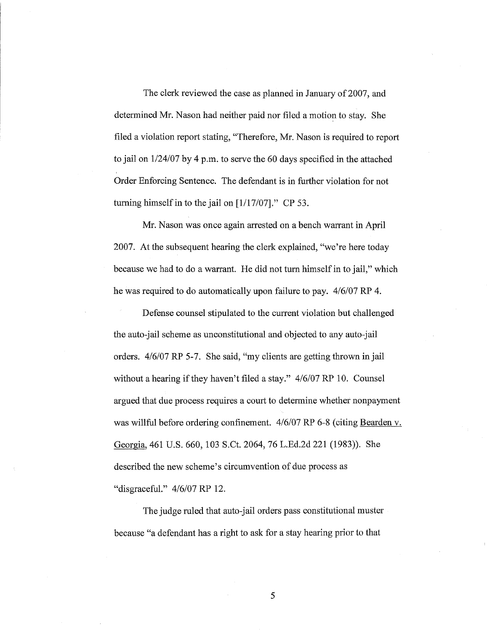The clerk reviewed the case as planned in January of 2007, and determined Mr. Nason had neither paid nor filed a motion to stay. She filed a violation report stating, "Therefore, Mr. Nason is required to report to jail on  $1/24/07$  by 4 p.m. to serve the 60 days specified in the attached Order Enforcing Sentence. The defendant is in further violation for not turning himself in to the jail on  $[1/17/07]$ ." CP 53.

Mr. Nason was once again arrested on a bench warrant in April 2007. At the subsequent hearing the clerk explained, "we're here today because we had to do a warrant. He did not turn himself in to jail," which he was required to do automatically upon failure to pay. 4/6/07 RP 4.

Defense counsel stipulated to the current violation but challenged the auto-jail scheme as unconstitutional and objected to any auto-jail orders. 4/6/07 RP 5-7. She said, "my clients are getting thrown in jail without a hearing if they haven't filed a stay." 4/6/07 RP 10. Counsel argued that due process requires a court to determine whether nonpayment was willful before ordering confinement. 4/6/07 RP 6-8 (citing Bearden v. Georgia, 461 U.S. 660, 103 S.Ct. 2064, 76 L.Ed.2d 221 (1983)). She described the new scheme's circumvention of due process as "disgraceful." 4/6/07 RP 12.

The judge ruled that auto-jail orders pass constitutional muster because "a defendant has a right to ask for a stay hearing prior to that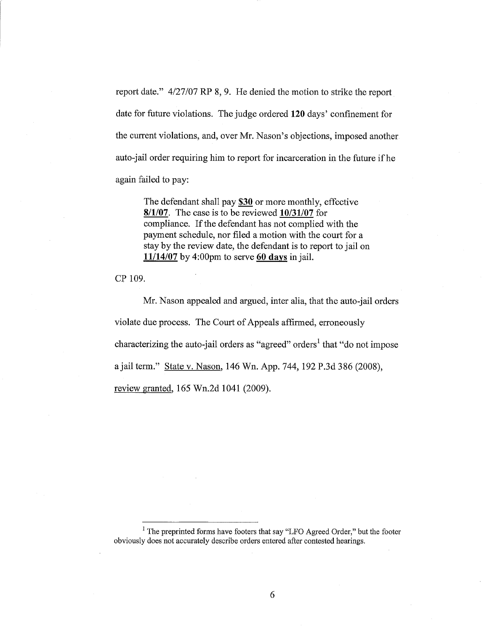report date."  $4/27/07$  RP 8, 9. He denied the motion to strike the report date for future violations. The judge ordered **120** days' confinement for the current violations, and, over Mr. Nason's objections, imposed another auto-jail order requiring him to report for incarceration in the future ifhe again failed to pay:

The defendant shall pay \$30 or more monthly, effective *8/1/07.* The case is to be reviewed *10/31/07* for compliance. If the defendant has not complied with the payment schedule, nor filed a motion with the court for a stay by the review date, the defendant is to report to jail on *11114/07* by 4:00pm to serve 60 days in jail.

CP 109.

Mr. Nason appealed and argued, inter alia, that the auto-jail orders violate due process. The Court of Appeals affirmed, erroneously characterizing the auto-jail orders as "agreed" orders<sup>1</sup> that "do not impose a jail term." State v. Nason, 146 Wn. App. 744, 192 P.3d 386 (2008), review granted, 165 Wn.2d 1041 (2009).

<sup>1</sup> The preprinted forms have footers that say "LFO Agreed Order," but the footer obviously does not accurately describe orders entered after contested hearings.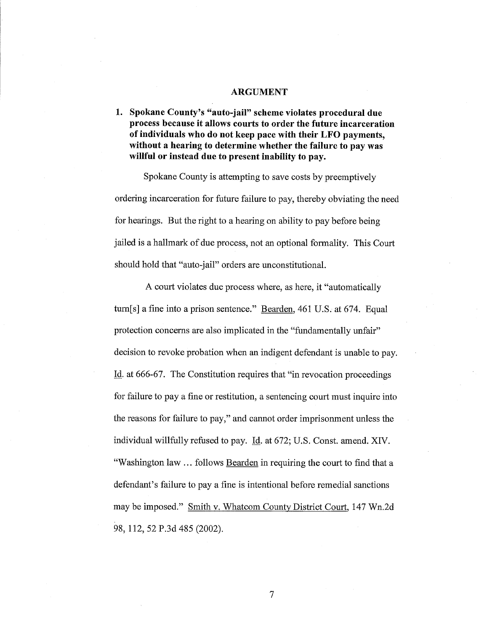#### **ARGUMENT**

**1. Spokane County's "auto-jail" scheme violates procedural due process because it allows courts to order the future incarceration of individuals who do not keep pace with their LFO payments, without a hearing to determine whether the failure to pay** was **willful or instead due to present inability to pay.** 

Spokane County is attempting to save costs by preemptively ordering incarceration for future failure to pay, thereby obviating the need for hearings. But the right to a hearing on ability to pay before being jailed is a hallmark of due process, not an optional formality. This Court should hold that "auto-jail" orders are unconstitutional.

A court violates due process where, as here, it "automatically turn[s] a fine into a prison sentence." Bearden, 461 U.S. at 674. Equal protection concerns are also implicated in the "fundamentally unfair" decision to revoke probation when an indigent defendant is unable to pay. Id. at 666-67. The Constitution requires that "in revocation proceedings for failure to pay a fine or restitution, a sentencing court must inquire into the reasons for failure to pay," and cannot order imprisonment unless the individual willfully refused to pay. Id. at 672; U.S. Const. amend. XIV. "Washington law ... follows Bearden in requiring the court to find that a defendant's failure to pay a fine is intentional before remedial sanctions may be imposed." Smith v. Whatcom County District Court, 147 Wn.2d 98, 112,52 P.3d 485 (2002).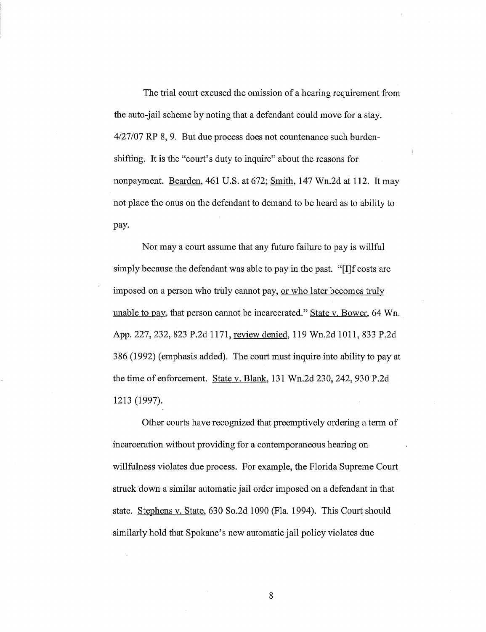The trial court excused the omission of a hearing requirement from the auto-jail scheme by noting that a defendant could move for a stay. 4127/07 RP 8, 9. But due process does not countenance such burdenshifting. It is the "court's duty to inquire" about the reasons for nonpayment. Bearden, 461 U.S. at 672; Smith, 147 Wn.2d at 112. It may not place the onus on the defendant to demand to be heard as to ability to pay.

Nor maya court assume that any future failure to pay is willful simply because the defendant was able to pay in the past. "[I]f costs are imposed on a person who truly cannot pay, or who later becomes truly unable to pay, that person cannot be incarcerated." State v. Bower, 64 Wn. App. 227, 232, 823 P.2d 1171, review denied, 119 Wn.2d 1011, 833 P.2d 386 (1992) (emphasis added). The court must inquire into ability to pay at the time of enforcement. State v. Blank, 131 Wn.2d 230, 242, 930 P.2d 1213 (1997).

Other courts have recognized that preemptively ordering a term of incarceration without providing for a contemporaneous hearing on willfulness violates due process. For example, the Florida Supreme Court struck down a similar automatic jail order imposed on a defendant in that state. Stephens v. State, 630 So.2d 1090 (Fla. 1994). This Court should similarly hold that Spokane's new automatic jail policy violates due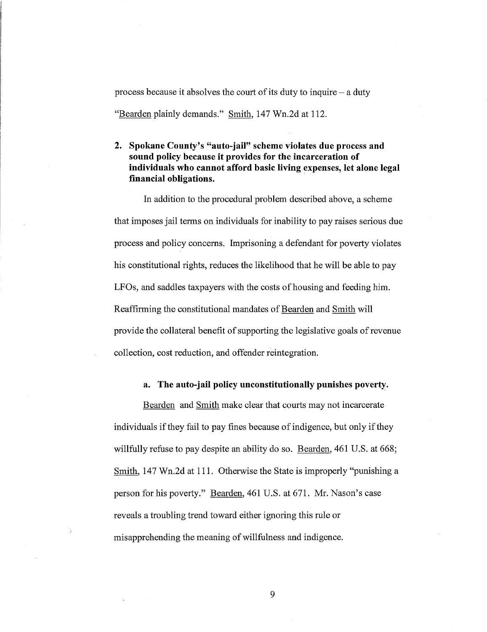process because it absolves the court of its duty to inquire  $-$  a duty "Bearden plainly demands." Smith, 147 Wn.2d at 112.

## **2. Spokane County's "auto-jail" scheme violates due process and sound policy because it provides for the incarceration of individuals who cannot afford basic living expenses, let alone legal financial obligations.**

In addition to the procedural problem described above, a scheme that imposes jail terms on individuals for inability to pay raises serious due process and policy concerns. Imprisoning a defendant for poverty violates his constitutional rights, reduces the likelihood that he will be able to pay LFOs, and saddles taxpayers with the costs of housing and feeding him. Reaffirming the constitutional mandates of Bearden and Smith will provide the collateral benefit of supporting the legislative goals of revenue collection, cost reduction, and offender reintegration.

## **a. The auto-jail policy unconstitutionally punishes poverty.**

Bearden and Smith make clear that courts may not incarcerate individuals if they fail to pay fines because of indigence, but only if they willfully refuse to pay despite an ability do so. Bearden, 461 U.S. at 668; Smith, 147 Wn.2d at 111. Otherwise the State is improperly "punishing a person for his poverty." Bearden, 461 U.S. at 671. Mr. Nason's case reveals a troubling trend toward either ignoring this rule or misapprehending the meaning of willfulness and indigence.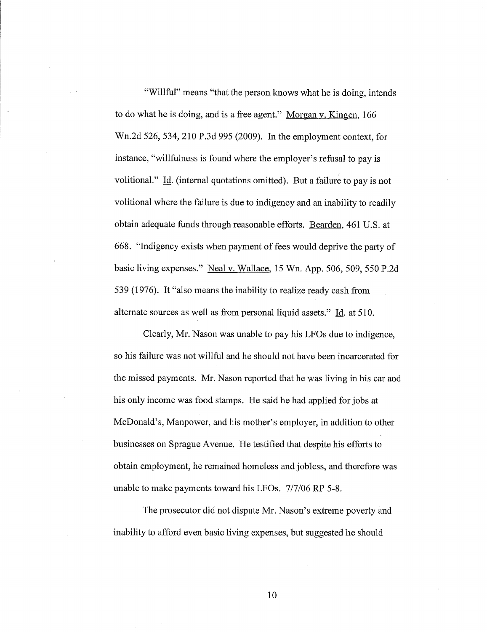"Willful" means "that the person knows what he is doing, intends to do what he is doing, and is a free agent." Morgan v. Kingen, 166 Wn.2d 526, 534, 210 P.3d 995 (2009). In the employment context, for instance, "willfulness is found where the employer's refusal to pay is volitional." Id. (internal quotations omitted). But a failure to pay is not volitional where the failure is due to indigency and an inability to readily obtain adequate funds through reasonable efforts. Bearden, 461 U.S. at 668. "Indigency exists when payment of fees would deprive the party of basic living expenses." Neal v. Wallace, 15 Wn. App. 506, 509, 550 P.2d 539 (1976). It "also means the inability to realize ready cash from alternate sources as well as from personal liquid assets." Id. at 510.

Clearly, Mr. Nason was unable to pay his LFOs due to indigence, so his failure was not willful and he should not have been incarcerated for the missed payments. Mr. Nason reported that he was living in his car and his only income was food stamps. He said he had applied for jobs at McDonald's, Manpower, and his mother's employer, in addition to other businesses on Sprague Avenue. He testified that despite his efforts to obtain employment, he remained homeless and jobless, and therefore was unable to make payments toward his LFOs. 7/7/06 RP 5-8.

The prosecutor did not dispute Mr. Nason's extreme poverty and inability to afford even basic living expenses, but suggested he should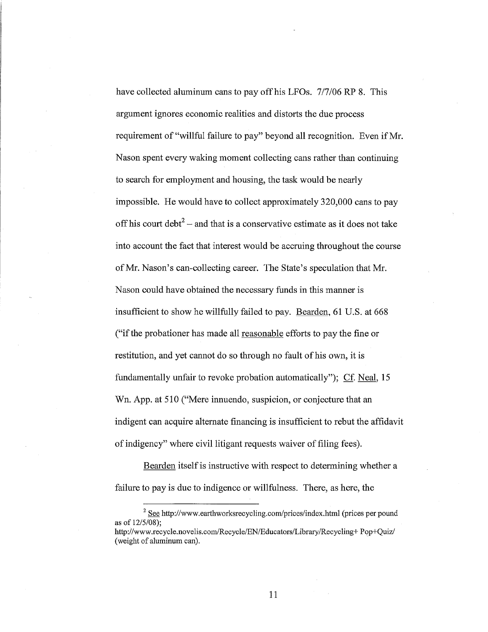have collected aluminum cans to pay off his LFOs. 7/7/06 RP 8. This argument ignores economic realities and distorts the due process requirement of "willful failure to pay" beyond all recognition. Even if Mr. Nason spent every waking moment collecting cans rather than continuing to search for employment and housing, the task would be nearly impossible. He would have to collect approximately 320,000 cans to pay off his court debt<sup>2</sup> – and that is a conservative estimate as it does not take into account the fact that interest would be accruing throughout the course ofMr. Nason's can-collecting career. The State's speculation that Mr. Nason could have obtained the necessary funds in this manner is insufficient to show he willfully failed to pay. Bearden, 61 U.S. at 668 ("if the probationer has made all reasonable efforts to pay the fine or restitution, and yet cannot do so through no fault of his own, it is fundamentally unfair to revoke probation automatically"); Cf. Neal, 15 Wn. App. at 510 ("Mere innuendo, suspicion, or conjecture that an indigent can acquire alternate financing is insufficient to rebut the affidavit of indigency" where civil litigant requests waiver of filing fees).

Bearden itself is instructive with respect to determining whether a failure to pay is due to indigence or willfulness. There, as here, the

 $2$  See http://www.earthworksrecycling.com/prices/index.html (prices per pound as of  $12/5/08$ : http://www.recycle.novelis.com/Recycle/EN/Educators/Library/Recycling+ Pop+Quiz/

<sup>(</sup>weight of aluminum can).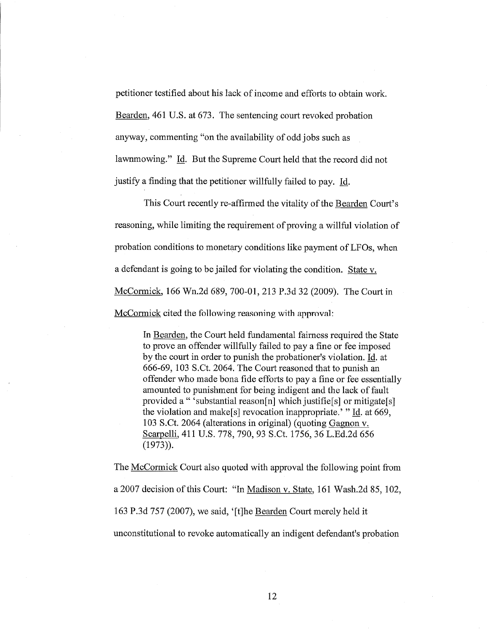petitioner testified about his lack of income and efforts to obtain work. Bearden, 461 U.S. at 673. The sentencing court revoked probation anyway, commenting "on the availability of odd jobs such as lawnmowing." Id. But the Supreme Court held that the record did not justify a finding that the petitioner willfully failed to pay. Id.

This Court recently re-affirmed the vitality of the Bearden Court's reasoning, while limiting the requirement of proving a willful violation of probation conditions to monetary conditions like payment of LFOs, when a defendant is going to be jailed for violating the condition. State v. McCormick, 166 Wn.2d 689, 700-01, 213 P.3d 32 (2009). The Court in McCormick cited the following reasoning with approval:

In Bearden, the Court held fundamental fairness required the State to prove an offender willfully failed to pay a fine or fee imposed by the court in order to punish the probationer's violation. Id. at 666-69, 103 S.Ct. 2064. The Court reasoned that to punish an offender who made bona fide efforts to pay a fine or fee essentially amounted to punishment for being indigent and the lack of fault provided a " 'substantial reason[n] which justifie[s] or mitigate[s] the violation and make[s] revocation inappropriate.' " Id. at 669, 103 S.Ct. 2064 (alterations in original) (quoting Gagnon v. Scarpelli, 411 U.S. 778, 790, 93 S.Ct. 1756,36 L.Ed.2d 656 (1973)).

The McCormick Court also quoted with approval the following point from a 2007 decision of this Court: "In Madison v. State, 161 Wash.2d 85, 102, 163 P.3d 757 (2007), we said, '[t]he Bearden Court merely held it unconstitutional to revoke automatically an indigent defendant's probation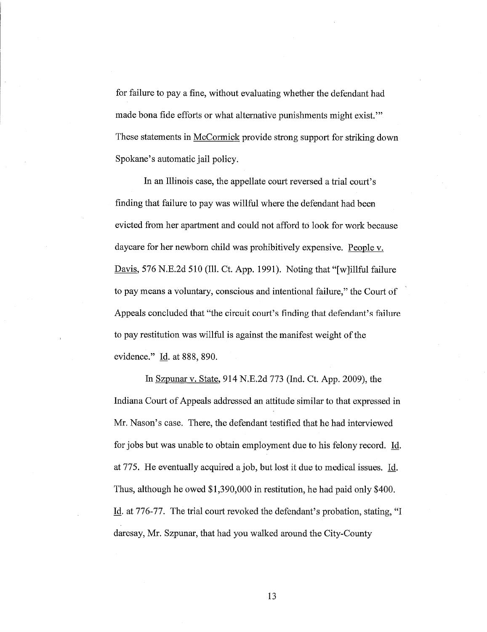for failure to pay a fine, without evaluating whether the defendant had made bona fide efforts or what alternative punishments might exist." These statements in McCormick provide strong support for striking down Spokane's automatic jail policy.

In an Illinois case, the appellate court reversed a trial court's finding that failure to pay was willful where the defendant had been evicted from her apartment and could not afford to look for work because daycare for her newborn child was prohibitively expensive. People v. Davis, 576 N.E.2d 510 (Ill. Ct. App. 1991). Noting that "[w]illful failure to pay means a voluntary, conscious and intentional failure," the Court of Appeals concluded that "the circuit court's finding that defendant's failure to pay restitution was willful is against the manifest weight of the evidence." Id. at 888, 890.

In Szpunar v. State, 914 N.E.2d 773 (Ind. Ct. App. 2009), the Indiana Court of Appeals addressed an attitude similar to that expressed in Mr. Nason's case. There, the defendant testified that he had interviewed for jobs but was unable to obtain employment due to his felony record. Id. at 775. He eventually acquired ajob, but lost it due to medical issues. Id. Thus, although he owed \$1,390,000 in restitution, he had paid only \$400. Id. at 776-77. The trial court revoked the defendant's probation, stating, "I daresay, Mr. Szpunar, that had you walked around the City-County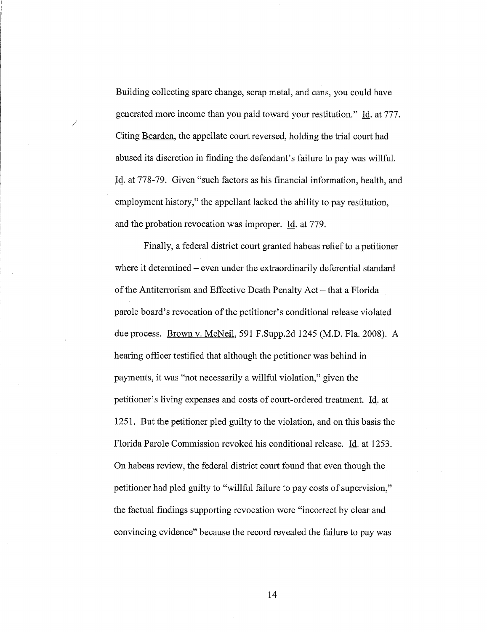Building collecting spare change, scrap metal, and cans, you could have generated more income than you paid toward your restitution." Id. at 777. Citing Bearden, the appellate court reversed, holding the trial court had abused its discretion in finding the defendant's failure to pay was willful. Id. at 778-79. Given "such factors as his financial information, health, and employment history," the appellant lacked the ability to pay restitution, and the probation revocation was improper. Id. at 779.

/

Finally, a federal district court granted habeas relief to a petitioner where it determined – even under the extraordinarily deferential standard of the Antiterrorism and Effective Death Penalty Act – that a Florida parole board's revocation of the petitioner's conditional release violated due process. Brown v. McNeil, 591 F.Supp.2d 1245 (M.D. Fla. 2008). A hearing officer testified that although the petitioner was behind in payments, it was "not necessarily a willful violation," given the petitioner's living expenses and costs of court-ordered treatment. Id. at 1251. But the petitioner pled guilty to the violation, and on this basis the Florida Parole Commission revoked his conditional release. Id. at 1253. On habeas review, the federal district court found that even though the petitioner had pled guilty to "willful failure to pay costs of supervision," the factual findings supporting revocation were "incorrect by clear and convincing evidence" because the record revealed the failure to pay was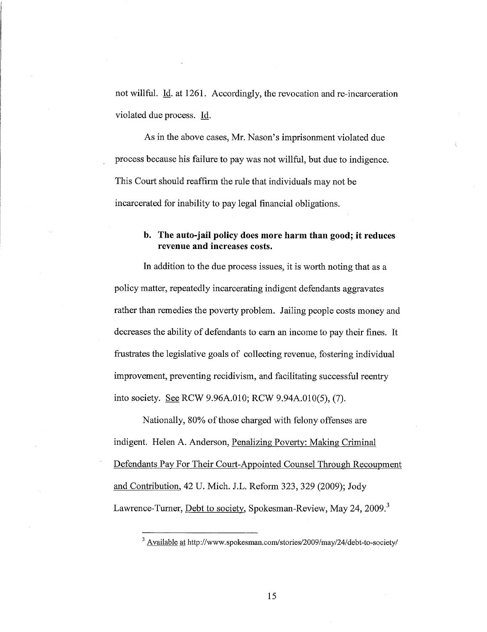not willful. Id. at 1261. Accordingly, the revocation and re-incarceration violated due process. Id.

As in the above cases, Mr. Nason's imprisonment violated due process because his failure to pay was not willful, but due to indigence. This Court should reaffirm the rule that individuals may not be incarcerated for inability to pay legal financial obligations.

## b. The auto-jail policy does more harm than good; it reduces revenue and increases costs.

In addition to the due process issues, it is worth noting that as a policy matter, repeatedly incarcerating indigent defendants aggravates rather than remedies the poverty problem. Jailing people costs money and decreases the ability of defendants to earn an income to pay their fines. It frustrates the legislative goals of collecting revenue, fostering individual improvement, preventing recidivism, and facilitating successful reentry into society. See RCW 9.96A.OI0; RCW 9.94A.OI0(5), (7).

Nationally, 80% of those charged with felony offenses are indigent. Helen A. Anderson, Penalizing Poverty: Making Criminal Defendants Pay For Their Court-Appointed Counsel Through Recoupment and Contribution, 42 U. Mich. J.L. Refonn 323, 329 (2009); Jody Lawrence-Turner, Debt to society, Spokesman-Review, May 24, 2009.<sup>3</sup>

<sup>3</sup> Available at *http://www.spokesman.com/stories/2009/may/24/debt-to-societyl*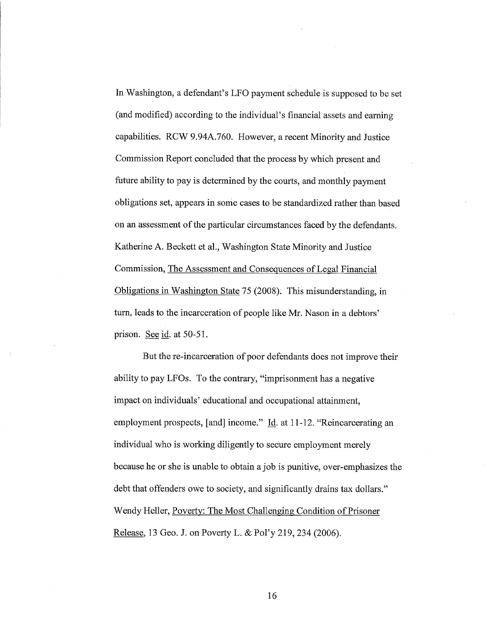In Washington, a defendant's LFO payment schedule is supposed to be set (and modified) according to the individual's financial assets and earning capabilities. RCW 9.94A.760. However, a recent Minority and Justice Commission Report concluded that the process by which present and future ability to pay is determined by the courts, and monthly payment obligations set, appears in some cases to be standardized rather than based on an assessment of the particular circumstances faced by the defendants. Katherine A. Beckett et aI., Washington State Minority and Justice Commission, The Assessment and Consequences of Legal Financial Obligations in Washington State 75 (2008). This misunderstanding, in turn, leads to the incarceration of people like Mr. Nason in a debtors' prison. See id. at 50-51.

But the re-incarceration of poor defendants does not improve their ability to pay LFOs. To the contrary, "imprisonment has a negative impact on individuals' educational and occupational attainment, employment prospects, [and] income." Id. at 11-12. "Reincarcerating an individual who is working diligently to secure employment merely because he or she is unable to obtain a job is punitive, over-emphasizes the debt that offenders owe to society, and significantly drains tax dollars." Wendy Heller, Poverty: The Most Challenging Condition of Prisoner Release, 13 Geo. J. on Poverty L. & Po1'y 219,234 (2006).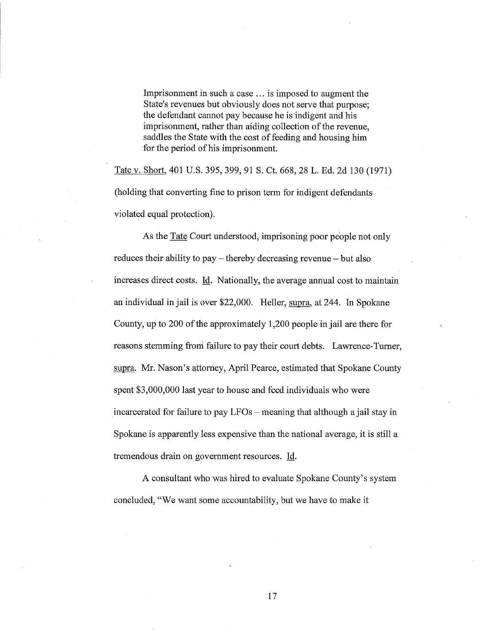Imprisonment in such a case ... is imposed to augment the State's revenues but obviously does not serve that purpose; the defendant cannot pay because he is indigent and his imprisonment, rather than aiding collection of the revenue, saddles the State with the cost of feeding and housing him for the period of his imprisonment.

Tate v. Short, 401 U.S. 395, 399, 91 S. Ct. 668, 28 L. Ed. 2d 130 (1971) (holding that converting fine to prison term for indigent defendants violated equal protection).

As the Tate Court understood, imprisoning poor people not only reduces their ability to pay – thereby decreasing revenue – but also increases direct costs. Id. Nationally, the average annual cost to maintain an individual in jail is over \$22,000. Heller, supra, at 244. In Spokane County, up to 200 of the approximately 1,200 people in jail are there for reasons stemming from failure to pay their court debts. Lawrence-Turner, supra. Mr. Nason's attorney, April Pearce, estimated that Spokane County spent \$3,000,000 last year to house and feed individuals who were incarcerated for failure to pay  $LFOs$  - meaning that although a jail stay in Spokane is apparently less expensive than the national average, it is still a tremendous drain on government resources. Id.

A consultant who was hired to evaluate Spokane County's system concluded, "We want some accountability, but we have to make it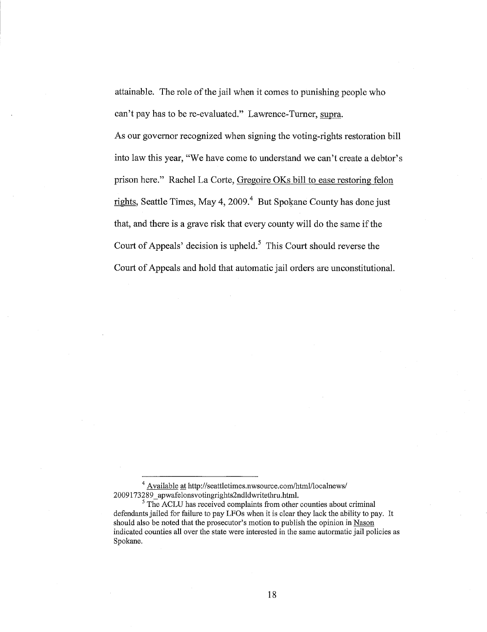attainable. The role of the jail when it comes to punishing people who can't pay has to be re-evaluated." Lawrence-Turner, supra.

As our governor recognized when signing the voting-rights restoration bill into law this year, "We have come to understand we can't create a debtor's prison here." Rachel La Corte, Gregoire OKs bill to ease restoring felon rights, Seattle Times, May 4,  $2009<sup>4</sup>$  But Spokane County has done just that, and there is a grave risk that every county will do the same if the Court of Appeals' decision is upheld.<sup>5</sup> This Court should reverse the Court of Appeals and hold that automatic jail orders are unconstitutional.

<sup>&</sup>lt;sup>4</sup> Available at http://seattletimes.nwsource.com/html/localnews/ 2009173289\_ apwafelonsvotingrights2ndldwritethru.html.

<sup>&</sup>lt;sup>5</sup> The ACLU has received complaints from other counties about criminal defendants jailed for failure to pay LFOs when it is clear they lack the ability to pay. It should also be noted that the prosecutor's motion to publish the opinion in Nason indicated counties all over the state were interested in the same autormatic jail policies as Spokane.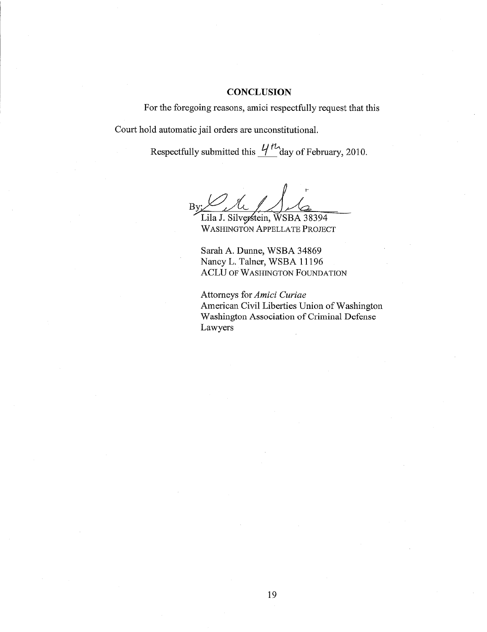#### **CONCLUSION**

For the foregoing reasons, amici respectfully request that this Court hold automatic jail orders are unconstitutional.

Respectfully submitted this  $\frac{1}{1}$  day of February, 2010.

Lila J. Silverstein, WSBA 38394 WASHINGTON APPELLATE PROJECT

Sarah A. Dunne, WSBA 34869 Nancy L. Talner, WSBA 11196 ACLU OF WASHINGTON FOUNDATION

Attorneys for *Amici Curiae*  American Civil Liberties Union of Washington Washington Association of Criminal Defense Lawyers